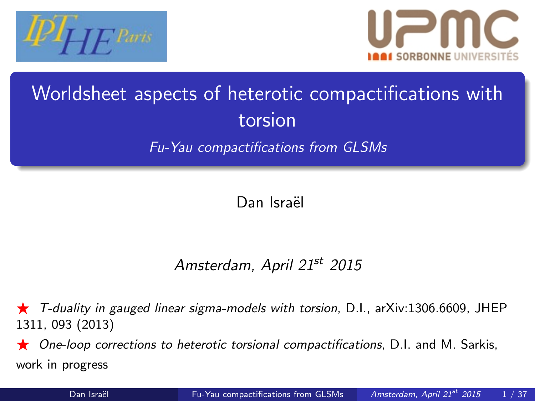



# Worldsheet aspects of heterotic compactifications with torsion

Fu-Yau compactifications from GLSMs

<span id="page-0-0"></span>Dan Israël

### Amsterdam, April 21st 2015

F T-duality in gauged linear sigma-models with torsion, D.I., arXiv:1306.6609, JHEP 1311, 093 (2013)

 $\star$  One-loop corrections to heterotic torsional compactifications, D.I. and M. Sarkis, work in progress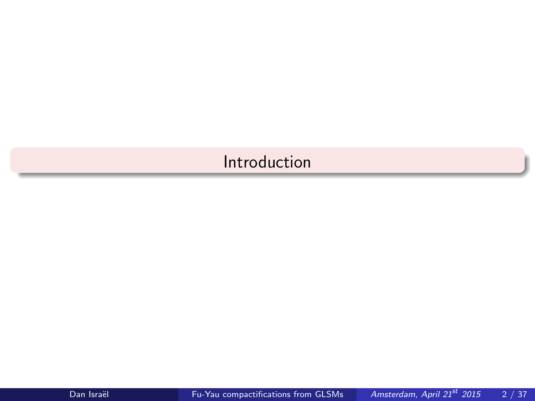### <span id="page-1-0"></span>[Introduction](#page-1-0)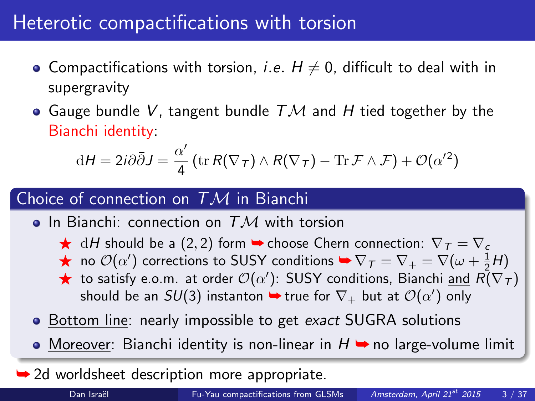# Heterotic compactifications with torsion

- Compactifications with torsion, *i.e.*  $H \neq 0$ , difficult to deal with in supergravity
- Gauge bundle V, tangent bundle  $T\mathcal{M}$  and H tied together by the Bianchi identity:

$$
dH = 2i\partial\bar{\partial}J = \frac{\alpha'}{4}\left(\text{tr}\,R(\nabla_{\mathcal{T}}) \wedge R(\nabla_{\mathcal{T}}) - \text{Tr}\,\mathcal{F} \wedge \mathcal{F}\right) + \mathcal{O}(\alpha'^2)
$$

#### Choice of connection on  $TM$  in Bianchi

- In Bianchi: connection on  $TM$  with torsion
	- $\star$  dH should be a (2, 2) form  $\bullet$  choose Chern connection:  $\nabla \tau = \nabla c$
	- ★ no  $\mathcal{O}(\alpha')$  corrections to SUSY conditions  $\blacktriangleright \nabla_\mathcal{T} = \nabla_+ = \nabla(\omega + \frac{1}{2}H)$
	- $\bigstar$  to satisfy e.o.m. at order  $\mathcal{O}(\alpha')$ : SUSY conditions, Bianchi <u>and</u>  $\tilde{R(\nabla_{T})}$ should be an  $SU(3)$  instanton  $\blacktriangleright$  true for  $\nabla_+$  but at  ${\cal O}(\alpha')$  only
- Bottom line: nearly impossible to get exact SUGRA solutions
- $\bullet$  Moreover: Bianchi identity is non-linear in  $H \rightarrow$  no large-volume limit
- **→ 2d worldsheet description more appropriate.**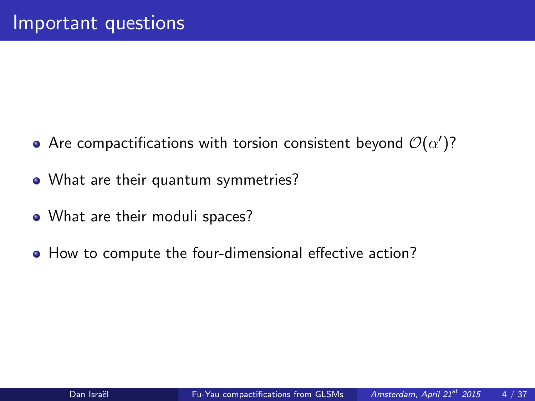- Are compactifications with torsion consistent beyond  ${\cal O}(\alpha')$ ?
- What are their quantum symmetries?
- What are their moduli spaces?
- How to compute the four-dimensional effective action?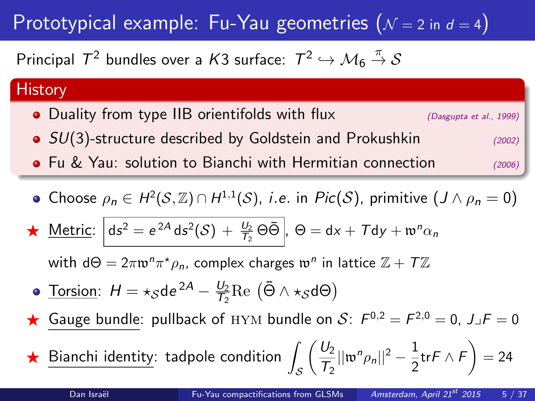# Prototypical example: Fu-Yau geometries  $(N = 2 \text{ in } d = 4)$

Principal  $\mathcal{T}^2$  bundles over a  $\mathcal{K}3$  surface:  $\mathcal{T}^2\hookrightarrow \mathcal{M}_6\stackrel{\pi}{\rightarrow}\mathcal{S}$ 

#### **History**

- Duality from type IIB orientifolds with flux  $(D\text{asympt a et al., 1999})$
- $SU(3)$ -structure described by Goldstein and Prokushkin (2002)
- **•** Fu & Yau: solution to Bianchi with Hermitian connection (2006)
- Choose  $\rho_n \in H^2(\mathcal{S}, \mathbb{Z}) \cap H^{1,1}(\mathcal{S})$ , *i.e.* in  $Pic(\mathcal{S})$ , primitive  $(J \wedge \rho_n = 0)$

$$
\star \text{ Metric: } \left[ ds^2 = e^{2A} ds^2(\mathcal{S}) + \frac{U_2}{T_2} \Theta \bar{\Theta} \right], \Theta = dx + T dy + \mathfrak{w}^n \alpha_n
$$

with d $\Theta = 2\pi \mathfrak{w}^n \pi^* \rho_n$ , complex charges  $\mathfrak{w}^n$  in lattice  $\mathbb{Z} + \mathcal{T} \mathbb{Z}$ 

- <u>Torsion</u>:  $H = \star_{\mathcal{S}}$ de<sup>2A</sup>  $\frac{U_2}{U_2}$  $\frac{U_2}{T_2}$ Re  $(\bar{\Theta} \wedge \star_{\mathcal{S}} d\Theta)$
- Gauge bundle: pullback of HYM bundle on S:  $F^{0,2} = F^{2,0} = 0$ ,  $J \Box F = 0$

 $\star$  Bianchi identity: tadpole condition S  $\bigcup_2$  $\frac{U_2}{T_2}||\mathfrak{w}^n\rho_n||^2-\frac{1}{2}$  $\frac{1}{2}$ tr $\mathsf{F} \wedge \mathsf{F}\bigg) = 24$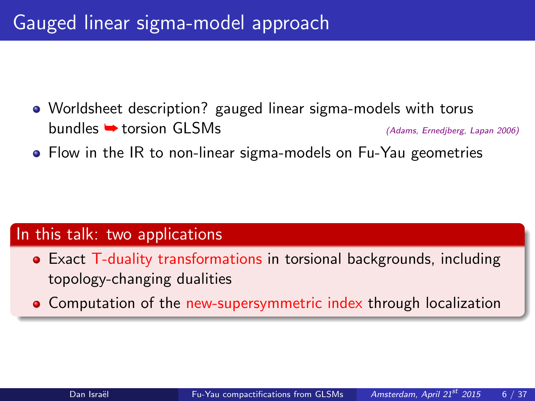- Worldsheet description? gauged linear sigma-models with torus  $b$ undles  $\rightarrow$  torsion GLSMs (Adams, Ernedjberg, Lapan 2006)
- Flow in the IR to non-linear sigma-models on Fu-Yau geometries

#### In this talk: two applications

- Exact T-duality transformations in torsional backgrounds, including topology-changing dualities
- **Computation of the new-supersymmetric index through localization**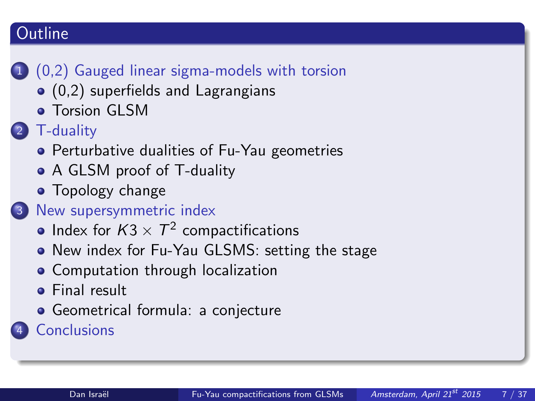### **Outline**

## 1 [\(0,2\) Gauged linear sigma-models with torsion](#page-7-0)

- [\(0,2\) superfields and Lagrangians](#page-8-0)
- **[Torsion GLSM](#page-10-0)**
- [T-duality](#page-13-0)
	- **•** [Perturbative dualities of Fu-Yau geometries](#page-14-0)
	- [A GLSM proof of T-duality](#page-15-0)
	- **•** [Topology change](#page-18-0)

### 3 [New supersymmetric index](#page-20-0)

- Index for  $K3 \times T^2$  [compactifications](#page-21-0)
- [New index for Fu-Yau GLSMS: setting the stage](#page-22-0)
- **[Computation through localization](#page-23-0)**
- **•** [Final result](#page-32-0)
- [Geometrical formula: a conjecture](#page-33-0)

**[Conclusions](#page-34-0)**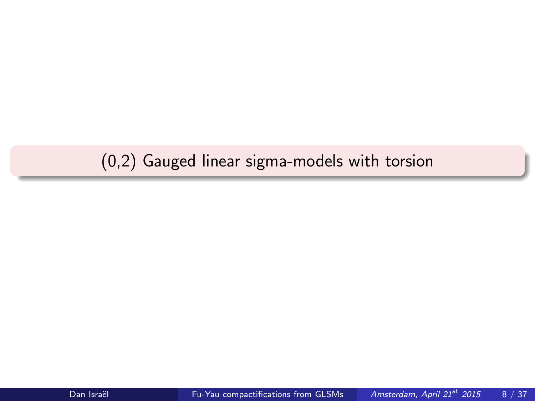## <span id="page-7-0"></span>[\(0,2\) Gauged linear sigma-models with torsion](#page-7-0)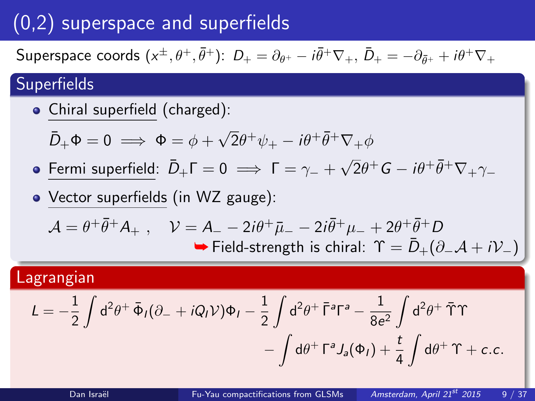# (0,2) superspace and superfields

Superspace coords  $(x^{\pm}, \theta^+, \bar{\theta}^+)$ :  $D_+ = \partial_{\theta^+} - i \bar{\theta}^+ \nabla_+$ ,  $\bar{D}_+ = -\partial_{\bar{\theta}^+} + i \theta^+ \nabla_+$ 

### **Superfields**

Chiral superfield (charged):

 $\overline{\overline{D}}+\Phi=0 \implies \Phi=\phi+\sqrt{2}$  $\overline{2}\theta^+\psi_+ - i\theta^+\bar\theta^+\nabla_+\phi$ 

- Fermi superfield:  $\bar{D}_+ \Gamma = 0 \implies \Gamma = \gamma_- + \sqrt{\frac{(\gamma_+ \gamma_+)^2}{2\pi}}$  $\overline{2}\theta^+G -i\theta^+\bar\theta^+\nabla_+\gamma_-$
- Vector superfields (in WZ gauge):

$$
\mathcal{A} = \theta^+ \bar{\theta}^+ A_+, \quad \mathcal{V} = A_- - 2i\theta^+ \bar{\mu}_- - 2i\bar{\theta}^+ \mu_- + 2\theta^+ \bar{\theta}^+ D
$$
  
\n
$$
\Rightarrow
$$
 Field-strength is chiral:  $\Upsilon = \bar{D}_+ (\partial_- \mathcal{A} + i\mathcal{V}_-)$ 

#### Lagrangian

<span id="page-8-0"></span>
$$
L = -\frac{1}{2} \int d^2 \theta^+ \, \bar{\Phi}_I (\partial_- + i Q_I \mathcal{V}) \Phi_I - \frac{1}{2} \int d^2 \theta^+ \, \bar{\Gamma}^a \Gamma^a - \frac{1}{8 e^2} \int d^2 \theta^+ \, \tilde{\Upsilon} \Upsilon
$$

$$
- \int d \theta^+ \, \Gamma^a J_a (\Phi_I) + \frac{t}{4} \int d \theta^+ \, \Upsilon + c.c.
$$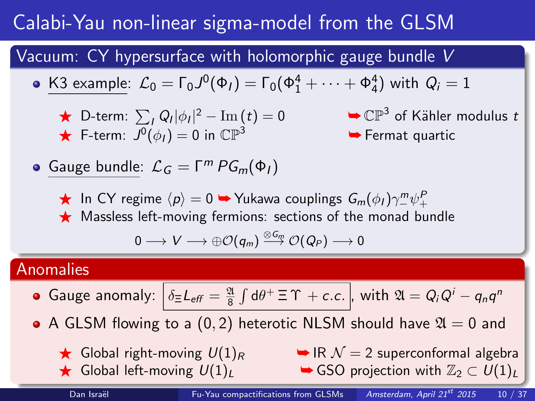# Calabi-Yau non-linear sigma-model from the GLSM

Vacuum: CY hypersurface with holomorphic gauge bundle V

• K3 example: 
$$
\mathcal{L}_0 = \Gamma_0 J^0(\Phi_I) = \Gamma_0(\Phi_1^4 + \cdots + \Phi_4^4)
$$
 with  $Q_i = 1$ 

► D-term: 
$$
\sum_{I} Q_{I} |\phi_{I}|^{2} - \text{Im}(t) = 0
$$
  
★ F-term:  $J^{0}(\phi_{I}) = 0$  in  $\mathbb{CP}^{3}$ 

 $2^2 - {\rm Im}\,(t) = 0$   $\rightarrow$   $\mathbb{CP}^3$  of Kähler modulus  $t$ 

 $\blacktriangleright$  Fermat quartic

**Gauge bundle:**  $\mathcal{L}_G = \Gamma^m PG_m(\Phi_I)$ 

 $\bigstar$  In CY regime  $\langle p \rangle = 0$  ➡ Yukawa couplings  $G_m(\phi_I) \gamma_-^m \psi_+^P$ 

 $\star$  Massless left-moving fermions: sections of the monad bundle

$$
0\longrightarrow V\longrightarrow \oplus {\cal O}(q_m)\stackrel{\otimes G_m}{\longrightarrow} {\cal O}(Q_P)\longrightarrow 0
$$

#### Anomalies

- Gauge anomaly:  $\Big|\, \delta_\Xi L_{\mathsf{eff}} = \frac{\mathfrak{A}}{8} \int \mathsf{d}\theta^+ \, \Xi\, \Upsilon \, + \, c.c.\, \Big|, \text{ with } \mathfrak{A} = Q_i Q^i q_n q^n$
- A GLSM flowing to a (0,2) heterotic NLSM should have  $\mathfrak{A} = 0$  and
	-
	-

Global right-moving  $U(1)_R$   $\rightarrow \mathbb{R}$  N = 2 superconformal algebra **★** Global left-moving  $U(1)_L$   $\rightarrow$  GSO projection with  $\mathbb{Z}_2 \subset U(1)_L$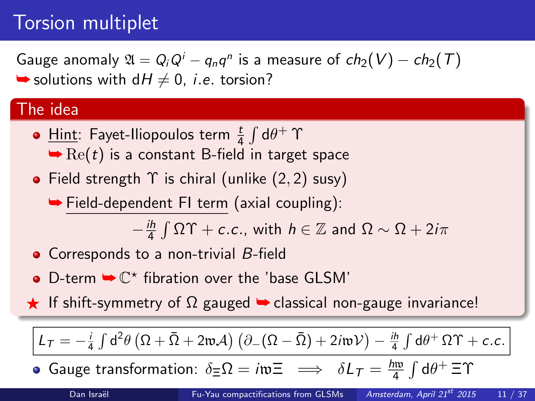# Torsion multiplet

Gauge anomaly  $\mathfrak{A}=Q_iQ^i-q_nq^n$  is a measure of  $ch_2(V)-ch_2(\mathcal{T})$  $\rightarrow$  solutions with  $dH \neq 0$ , *i.e.* torsion?

#### The idea

- <u>Hint</u>: Fayet-Iliopoulos term  $\frac{t}{4} \int d\theta^+ \Upsilon$  $\rightarrow$  Re(t) is a constant B-field in target space
- Field strength  $\Upsilon$  is chiral (unlike  $(2, 2)$  susy)

➥ Field-dependent FI term (axial coupling):

<span id="page-10-0"></span> $-\frac{ih}{4}$  $\frac{dh}{4} \int \Omega \Upsilon + c.c.,$  with  $h \in \mathbb{Z}$  and  $\Omega \sim \Omega + 2i\pi$ 

- Corresponds to a non-trivial B-field
- D-term  $\blacktriangleright \mathbb{C}^*$  fibration over the 'base GLSM'
- F If shift-symmetry of  $\Omega$  gauged  $\rightarrow$  classical non-gauge invariance!

 $L_{\mathcal{T}} = -\frac{i}{4} \int d^2 \theta \left( \Omega + \bar{\Omega} + 2 \mathfrak{w} \mathcal{A} \right) \left( \partial_- (\Omega - \bar{\Omega}) + 2 i \mathfrak{w} \mathcal{V} \right) - \frac{i \hbar}{4} \int d \theta^+ \, \Omega \Upsilon + c.c.$ 

Gauge transformation:  $\delta \equiv \Omega = i \mathfrak{w} \equiv \implies \delta L_{\mathcal{T}} = \frac{\hbar \mathfrak{w}}{4}$  $\frac{1}{4}$   $\int d\theta^+ \equiv \Upsilon$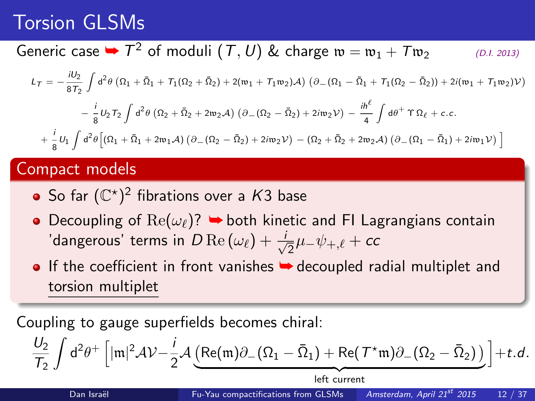# Torsion GLSMs

## Generic case  $\blacktriangleright$   $T^2$  of moduli  $(\mathcal{T},U)$  & charge  $\mathfrak{w}=\mathfrak{w}_1+\mathcal{T}\mathfrak{w}_2$  (D.I. 2013)

$$
L_{\mathcal{T}} = -\frac{iU_2}{8T_2} \int d^2\theta \left( \Omega_1 + \bar{\Omega}_1 + T_1(\Omega_2 + \bar{\Omega}_2) + 2(\mathfrak{w}_1 + T_1 \mathfrak{w}_2) \mathcal{A} \right) \left( \partial_{-} (\Omega_1 - \bar{\Omega}_1 + T_1(\Omega_2 - \bar{\Omega}_2)) + 2i(\mathfrak{w}_1 + T_1 \mathfrak{w}_2) \mathcal{V} \right)
$$

$$
- \frac{i}{8} U_2 T_2 \int d^2\theta \left( \Omega_2 + \bar{\Omega}_2 + 2\mathfrak{w}_2 \mathcal{A} \right) \left( \partial_{-} (\Omega_2 - \bar{\Omega}_2) + 2i\mathfrak{w}_2 \mathcal{V} \right) - \frac{i\hbar^{\ell}}{4} \int d\theta^+ \Upsilon \Omega_{\ell} + c.c.
$$

$$
+ \frac{i}{8} U_1 \int d^2\theta \left[ (\Omega_1 + \bar{\Omega}_1 + 2\mathfrak{w}_1 \mathcal{A}) \left( \partial_{-} (\Omega_2 - \bar{\Omega}_2) + 2i\mathfrak{w}_2 \mathcal{V} \right) - (\Omega_2 + \bar{\Omega}_2 + 2\mathfrak{w}_2 \mathcal{A}) \left( \partial_{-} (\Omega_1 - \bar{\Omega}_1) + 2i\mathfrak{w}_1 \mathcal{V} \right) \right]
$$

#### Compact models

- So far  $(\mathbb{C}^\star)^2$  fibrations over a  $K3$  base
- Decoupling of  $\text{Re}(\omega_{\ell})$ ?  $\rightarrow$  both kinetic and FI Lagrangians contain 'dangerous' terms in  $D\operatorname{Re}\left(\omega_{\ell}\right)+\frac{i}{\sqrt{2}}$  $\frac{1}{2}\mu_-\psi_{+,\ell} + \epsilon$ c
- $\bullet$  If the coefficient in front vanishes  $\bullet$  decoupled radial multiplet and torsion multiplet

Coupling to gauge superfields becomes chiral:

$$
\frac{U_2}{\mathcal{T}_2}\int d^2\theta^+\left[|\mathfrak{m}|^2\mathcal{A}\mathcal{V}-\frac{i}{2}\mathcal{A}\underbrace{\left(\text{Re}(\mathfrak{m})\partial_-(\Omega_1-\bar{\Omega}_1)+\text{Re}(\mathcal{T}^\star\mathfrak{m})\partial_-(\Omega_2-\bar{\Omega}_2)\right)}_{\text{left current}}\right]+t.d.
$$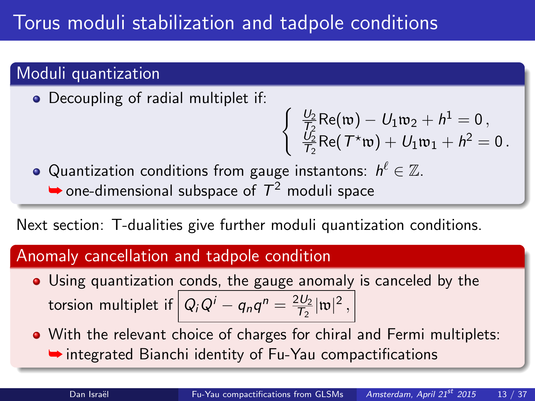# Torus moduli stabilization and tadpole conditions

### Moduli quantization

• Decoupling of radial multiplet if:

$$
\left\{\begin{array}{l}\frac{U_2}{\mathsf{T}_2}\mathsf{Re}(\mathfrak w)-U_1\mathfrak w_2+h^1=0\,,\\ \frac{U_2}{\mathsf{T}_2}\mathsf{Re}(\mathsf{T}^\star\mathfrak w)+U_1\mathfrak w_1+h^2=0\,.\end{array}\right.
$$

Quantization conditions from gauge instantons:  $\mathit{h}^{\ell} \in \mathbb{Z}.$  $\rightarrow$  one-dimensional subspace of  $T^2$  moduli space

Next section: T-dualities give further moduli quantization conditions.

### Anomaly cancellation and tadpole condition

- Using quantization conds, the gauge anomaly is canceled by the torsion multiplet if  $\left| \right. Q_i Q^i - q_n q^n = \frac{2 U_2}{T_2}$  $\frac{2U_2}{T_2}|\mathfrak{w}|^2$ ,
- With the relevant choice of charges for chiral and Fermi multiplets: ➥ integrated Bianchi identity of Fu-Yau compactifications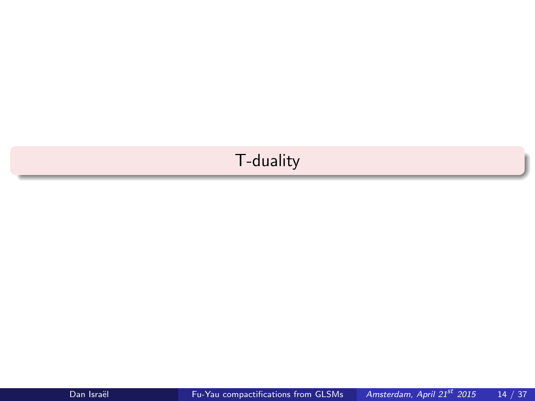### <span id="page-13-0"></span>[T-duality](#page-13-0)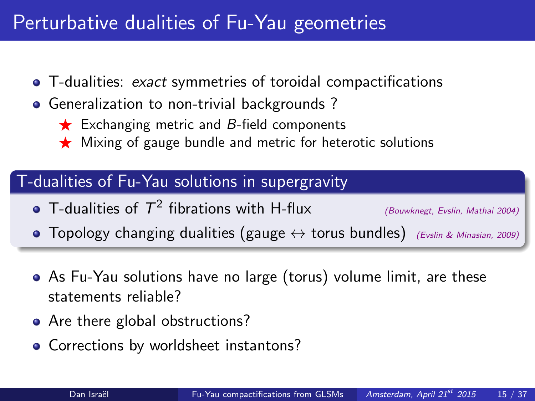# Perturbative dualities of Fu-Yau geometries

- T-dualities: exact symmetries of toroidal compactifications
- **•** Generalization to non-trivial backgrounds?
	- $\star$  Exchanging metric and B-field components
	- $\star$  Mixing of gauge bundle and metric for heterotic solutions

### T-dualities of Fu-Yau solutions in supergravity

T-dualities of  $T^2$  fibrations with H-flux (Bouwknegt, Evslin, Mathai 2004)

<span id="page-14-0"></span>

- Topology changing dualities (gauge  $\leftrightarrow$  torus bundles) (Evslin & Minasian, 2009)
- As Fu-Yau solutions have no large (torus) volume limit, are these statements reliable?
- Are there global obstructions?
- Corrections by worldsheet instantons?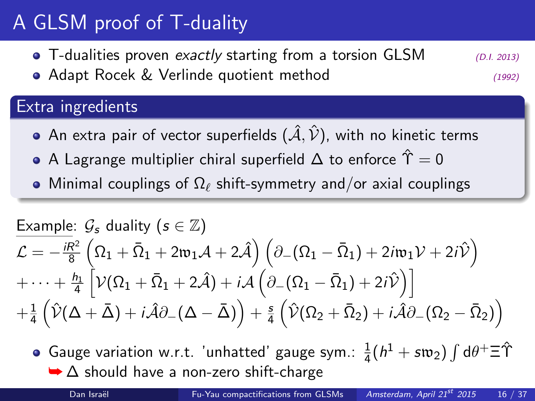# A GLSM proof of T-duality

• T-dualities proven exactly starting from a torsion GLSM  $(D.I. 2013)$ • Adapt Rocek & Verlinde quotient method (1992)

### Extra ingredients

- An extra pair of vector superfields  $(\hat{A}, \hat{\mathcal{V}})$ , with no kinetic terms
- A Lagrange multiplier chiral superfield  $\Delta$  to enforce  $\hat{\Upsilon} = 0$
- Minimal couplings of  $\Omega_\ell$  shift-symmetry and/or axial couplings

$$
\begin{array}{l} \text{\underline{Example: }} \mathcal{G}_{\mathfrak{s}} \text{ duality } (s \in \mathbb{Z}) \\ \mathcal{L} = - \frac{i R^2}{8} \left( \Omega_1 + \bar{\Omega}_1 + 2 \mathfrak{w}_1 \mathcal{A} + 2 \hat{\mathcal{A}} \right) \left( \partial_- (\Omega_1 - \bar{\Omega}_1) + 2 i \mathfrak{w}_1 \mathcal{V} + 2 i \hat{\mathcal{V}} \right) \\ + \cdots + \frac{\mu_1}{4} \left[ \mathcal{V} (\Omega_1 + \bar{\Omega}_1 + 2 \hat{\mathcal{A}}) + i \mathcal{A} \left( \partial_- (\Omega_1 - \bar{\Omega}_1) + 2 i \hat{\mathcal{V}} \right) \right] \\ + \frac{1}{4} \left( \hat{\mathcal{V}} (\Delta + \bar{\Delta}) + i \hat{\mathcal{A}} \partial_- (\Delta - \bar{\Delta}) \right) + \frac{s}{4} \left( \hat{\mathcal{V}} (\Omega_2 + \bar{\Omega}_2) + i \hat{\mathcal{A}} \partial_- (\Omega_2 - \bar{\Omega}_2) \right) \end{array}
$$

<span id="page-15-0"></span>Gauge variation w.r.t. 'unhatted' gauge sym.:  $\frac{1}{4}(h^{1} + s\mathfrak{w}_{2})\int \mathrm{d}\theta^{+} \Xi \hat{\Upsilon}$  $\rightarrow \Delta$  should have a non-zero shift-charge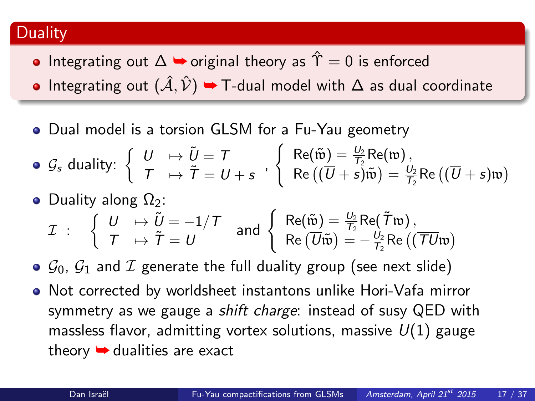#### **Duality**

- Integrating out  $\Delta$   $\rightarrow$  original theory as  $\hat{\Upsilon} = 0$  is enforced
- Integrating out  $(\hat{\mathcal{A}}, \hat{\mathcal{V}})$   $\rightarrow$  T-dual model with  $\Delta$  as dual coordinate
- Dual model is a torsion GLSM for a Fu-Yau geometry

• 
$$
G_s
$$
 duality: 
$$
\begin{cases} U & \mapsto \tilde{U} = T \\ T & \mapsto \tilde{T} = U + s \end{cases}
$$
, 
$$
\begin{cases} \text{Re}(\tilde{\mathfrak{w}}) = \frac{U_2}{T_2} \text{Re}(\mathfrak{w}), \\ \text{Re}((\overline{U} + s)\tilde{\mathfrak{w}}) = \frac{U_2}{T_2} \text{Re}((\overline{U} + s)\mathfrak{w}) \end{cases}
$$

\n- Duality along Ω<sub>2</sub>:
\n- \n
$$
\mathcal{I} : \n\begin{cases}\nU \mapsto \tilde{U} = -1/T \\
T \mapsto \tilde{T} = U\n\end{cases}\n\quad \text{and} \n\begin{cases}\n\text{Re}(\tilde{\mathbf{w}}) = \frac{U_2}{T_2} \text{Re}(\tilde{T}\mathbf{w}), \\
\text{Re}(\overline{U}\tilde{\mathbf{w}}) = -\frac{U_2}{T_2} \text{Re}((\overline{T}U\mathbf{w}))\n\end{cases}
$$
\n
\n

- $\circ$   $\mathcal{G}_0$ ,  $\mathcal{G}_1$  and  $\mathcal{I}$  generate the full duality group (see next slide)
- Not corrected by worldsheet instantons unlike Hori-Vafa mirror symmetry as we gauge a *shift charge*: instead of susy QED with massless flavor, admitting vortex solutions, massive  $U(1)$  gauge theory  $\rightarrow$  dualities are exact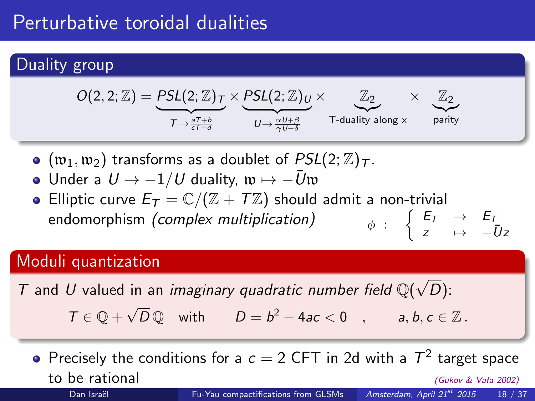# Perturbative toroidal dualities

### Duality group



- $\bullet$  ( $\mathfrak{w}_1, \mathfrak{w}_2$ ) transforms as a doublet of  $PSL(2; \mathbb{Z})_{\mathcal{T}}$ .
- Under a  $U \rightarrow -1/U$  duality,  $\mathfrak{w} \mapsto -\bar{U}\mathfrak{w}$
- Elliptic curve  $E_T = \mathbb{C}/(\mathbb{Z} + T\mathbb{Z})$  should admit a non-trivial endomorphism (complex multiplication)  $\int E_T \rightarrow E_T$  $z \quad \mapsto \quad -\bar{U}z$

### Moduli quantization

T and U valued in an *imaginary quadratic number field*  $\mathbb{Q}(\sqrt{2})$  $D)$ :

 $T \in \mathbb{Q} + \sqrt{D} \mathbb{Q}$  with  $D = b^2 - 4ac < 0$ ,  $a, b, c \in \mathbb{Z}$ .

Precisely the conditions for a  $c = 2$  CFT in 2d with a  $T^2$  target space to be rational the rational three controls of the control of the control of the control of the control of the control of the control of the control of the control of the control of the control of the control of the control Dan Israël [Fu-Yau compactifications from GLSMs](#page-0-0) Amsterdam, April 21<sup>st</sup> 2015 18 / 37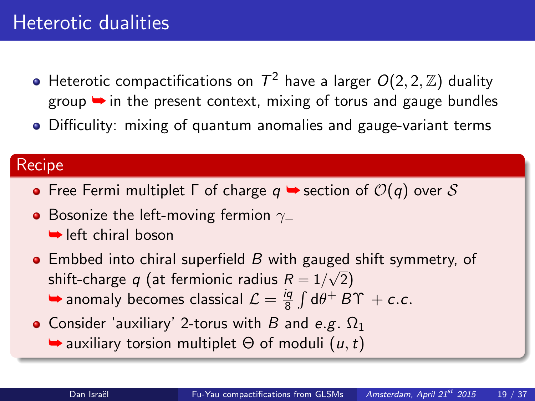# Heterotic dualities

- Heterotic compactifications on  $\mathcal{T}^2$  have a larger  $\mathit{O}(2,2,\mathbb{Z})$  duality group **→** in the present context, mixing of torus and gauge bundles
- Difficulity: mixing of quantum anomalies and gauge-variant terms

#### **Recipe**

- Free Fermi multiplet  $\Gamma$  of charge  $q \rightarrow$  section of  $\mathcal{O}(q)$  over  $\mathcal S$
- **•** Bosonize the left-moving fermion  $γ_$ **► left chiral boson**
- $\bullet$  Embbed into chiral superfield B with gauged shift symmetry, of  $\frac{1}{2}$  shift-charge q (at fermionic radius  $R = 1/\sqrt{2}$ )  $\rightarrow$  anomaly becomes classical  $\mathcal{L} = \frac{iq}{8}$  $\frac{d\tilde{q}}{8}\int d\theta^+ B\Upsilon + c.c.$
- <span id="page-18-0"></span>• Consider 'auxiliary' 2-torus with B and e.g.  $\Omega_1$  $\rightarrow$  auxiliary torsion multiplet  $\Theta$  of moduli  $(u, t)$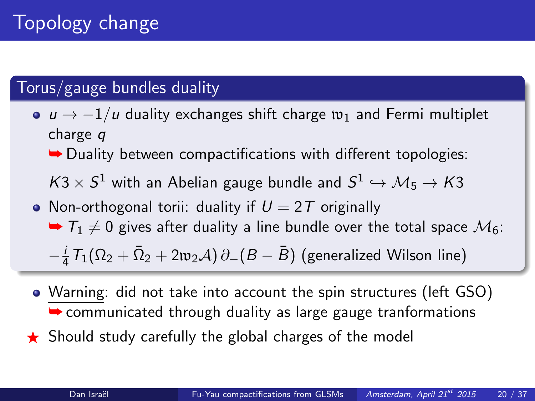### Torus/gauge bundles duality

- $u \rightarrow -1/u$  duality exchanges shift charge  $w_1$  and Fermi multiplet charge q
	- $\rightarrow$  Duality between compactifications with different topologies:

 $\mathcal{K}3\times \mathcal{S}^1$  with an Abelian gauge bundle and  $\mathcal{S}^1\hookrightarrow \mathcal{M}_5\to \mathcal{K}3$ 

- Non-orthogonal torii: duality if  $U = 2T$  originally  $\blacktriangleright$   $T_1 \neq 0$  gives after duality a line bundle over the total space  $\mathcal{M}_6$ :  $-\frac{i}{4}$  $\frac{i}{4}\, \mathcal{T}_1(\Omega_2 + \bar{\Omega}_2 + 2\mathfrak{w}_2 \mathcal{A})\, \partial_-(B - \bar{B}) \; \text{(generalized Wilson line)}$
- Warning: did not take into account the spin structures (left GSO)  $\rightarrow$  communicated through duality as large gauge tranformations
- $\star$  Should study carefully the global charges of the model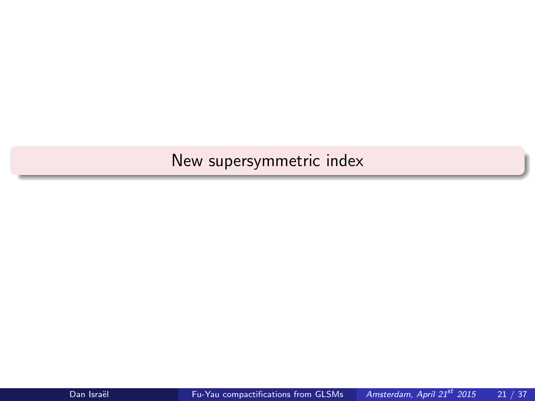## <span id="page-20-0"></span>[New supersymmetric index](#page-20-0)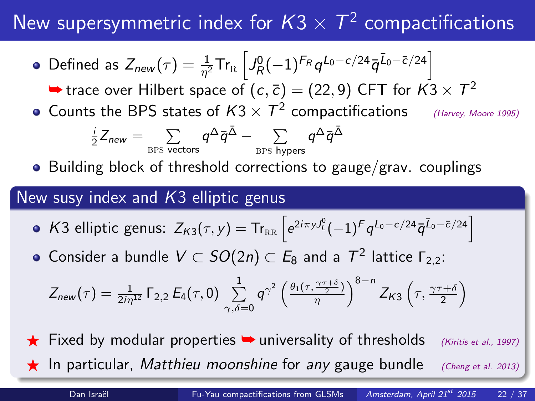# New supersymmetric index for  $\textit{K3}\times \textit{T}^2$  compactifications

Defined as  $Z_{new}(\tau)=\frac{1}{\eta^2}\mathsf{Tr}_{\textrm{R}}\left[J^0_R(-1)^{F_R}q^{L_0-c/24}\bar{q}^{\bar{L}_0-\bar{c}/24}\right]$ 

 $\blacktriangleright$  trace over Hilbert space of  $(c, \bar{c}) = (22, 9)$  CFT for  $K3 \times T^2$ 

Counts the BPS states of  $K3\times T^2$  compactifications (Harvey, Moore 1995)

$$
\tfrac{i}{2} Z_{\text{new}} = \sum_{\text{BPS vectors}} q^\Delta \bar{q}^{\bar{\Delta}} - \sum_{\text{BPS hypers}} q^\Delta \bar{q}^{\bar{\Delta}}
$$

Building block of threshold corrections to gauge/grav. couplings

#### New susy index and  $K3$  elliptic genus

- K3 elliptic genus:  $Z_{K3}(\tau, y) = Tr_{RR} \left[ e^{2i\pi y J_L^0} (-1)^F q^{L_0 c/24} \bar{q}^{\bar{L}_0 \bar{c}/24} \right]$
- Consider a bundle  $V\subset SO(2n)\subset E_8$  and a  $\mathcal{T}^2$  lattice  $\mathsf{\Gamma}_{2,2}$ :

<span id="page-21-0"></span>
$$
Z_{\text{new}}(\tau) = \frac{1}{2i\eta^{12}} \Gamma_{2,2} E_4(\tau,0) \sum_{\gamma,\delta=0}^{1} q^{\gamma^2} \left(\frac{\theta_1(\tau,\frac{\gamma\tau+\delta}{2})}{\eta}\right)^{8-n} Z_{K3}\left(\tau,\frac{\gamma\tau+\delta}{2}\right)
$$

Fixed by modular properties  $\rightarrow$  universality of thresholds (Kiritis et al., 1997) **F** In particular, Matthieu moonshine for any gauge bundle (Cheng et al. 2013)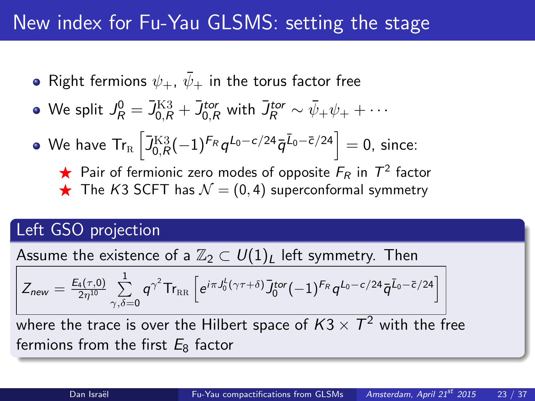## New index for Fu-Yau GLSMS: setting the stage

- Right fermions  $\psi_+$ ,  $\bar{\psi}_+$  in the torus factor free
- We split  $J_R^0 = \bar{J}_{0,R}^{\text{K3}} + \bar{J}_{0,R}^{tor}$  with  $\bar{J}_R^{tor} \sim \bar{\psi}_+ \psi_+ + \cdots$
- We have  $\textsf{Tr}_\textsc{h}\left[\bar{J}^\textsc{K3}_{0,R}(-1)^{F_R}q^{L_0-c/24}\bar{q}^{\bar{L}_0-\bar{c}/24}\right]=0,$  since:
	- $\star$  Pair of fermionic zero modes of opposite  $F_R$  in  $T^2$  factor  $\bigstar$  The K3 SCFT has  $\mathcal{N} = (0, 4)$  superconformal symmetry

### Left GSO projection

Assume the existence of a  $\mathbb{Z}_2 \subset U(1)_L$  left symmetry. Then

$$
Z_{\text{new}} = \tfrac{E_4(\tau,0)}{2\eta^{10}}\sum_{\gamma,\delta=0}^1 q^{\gamma^2} \mathsf{Tr}_\text{RR}\left[e^{i\pi J_0^L(\gamma\tau+\delta)}\bar{J}_0^{\text{tor}}(-1)^{F_R}q^{L_0-c/24}\bar{q}^{\bar{L}_0-\bar{c}/24}\right]
$$

<span id="page-22-0"></span>where the trace is over the Hilbert space of  $K3\times T^2$  with the free fermions from the first  $E_8$  factor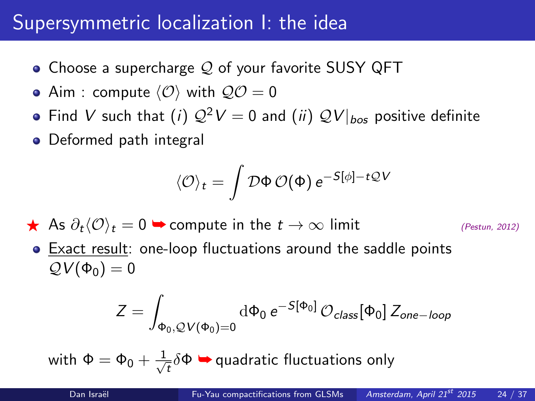# Supersymmetric localization I: the idea

- Choose a supercharge  $Q$  of your favorite SUSY QFT
- Aim : compute  $\langle \mathcal{O} \rangle$  with  $\mathcal{QO} = 0$
- Find V such that (i)  $\mathcal{Q}^2 V = 0$  and (ii)  $\mathcal{Q} V|_{bos}$  positive definite
- Deformed path integral

$$
\langle \mathcal{O} \rangle_t = \int \mathcal{D}\Phi \, \mathcal{O}(\Phi) \, e^{-S[\phi] - t \mathcal{Q} V}
$$

 $\star$  As  $\partial_t \langle \mathcal{O} \rangle_t = 0$   $\to$  compute in the  $t \to \infty$  limit (Pestun, 2012)

<span id="page-23-0"></span>

Exact result: one-loop fluctuations around the saddle points  $QV(\Phi_0)=0$ 

$$
Z = \int_{\Phi_0, \mathcal{Q}V(\Phi_0)=0} \mathrm{d} \Phi_0 \, e^{-S[\Phi_0]} \, \mathcal{O}_{class}[\Phi_0] \, Z_{one-loop}
$$

with  $\Phi = \Phi_0 + \frac{1}{\sqrt{2}}$  $\tau_{\tau}^{\pm}\delta\Phi\blacktriangleright$  quadratic fluctuations only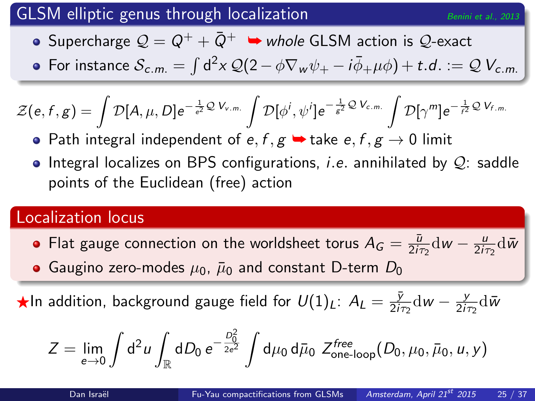### GLSM elliptic genus through localization  $B_{\text{enini et al., 2013}}$

- Supercharge  $\mathcal{Q} = \mathcal{Q}^+ + \bar{\mathcal{Q}}^+$   $\Rightarrow$  whole GLSM action is  $\mathcal{Q}$ -exact
- For instance  $\mathcal{S}_{c.m.}=\int\mathsf{d}^2\mathsf{x}\,\mathcal{Q}(2-\phi\nabla_{\mathsf{w}}\psi_{+}-i\bar{\phi}_{+}\mu\phi)+t.d.:=\mathcal{Q}\,\mathcal{V}_{c.m.}$

$$
\mathcal{Z}(e,f,g)=\int \mathcal{D}[A,\mu,D]e^{-\frac{1}{e^2}\mathcal{Q} V_{v.m.}}\int \mathcal{D}[\phi^i,\psi^i]e^{-\frac{1}{g^2}\mathcal{Q} V_{c.m.}}\int \mathcal{D}[\gamma^m]e^{-\frac{1}{f^2}\mathcal{Q} V_{f.m.}}
$$

- Path integral independent of  $e, f, g \rightarrow \text{take } e, f, g \rightarrow 0$  limit
- $\bullet$  Integral localizes on BPS configurations, *i.e.* annihilated by  $\mathcal{Q}_i$  saddle points of the Euclidean (free) action

### Localization locus

- Flat gauge connection on the worldsheet torus  $A_G = \frac{\bar{u}}{2i\pi}$  $\frac{\bar{u}}{2i\tau_2}$ dw —  $\frac{u}{2i\tau_1}$  $\frac{u}{2i\tau_2}d\bar{w}$
- Gaugino zero-modes  $\mu_0$ ,  $\bar{\mu}_0$  and constant D-term  $D_0$

 $\bigstar$ In addition, background gauge field for  $U(1)_L$ :  $A_L = \frac{\bar{y}}{2i}$  $\frac{\bar{y}}{2i\tau_2}$ dw —  $\frac{y}{2i\tau_2}$  $\frac{y}{2i\tau_2}\mathrm{d}\bar{\mathsf{w}}$ 

$$
Z = \lim_{e \to 0} \int d^2 u \int_{\mathbb{R}} dD_0 e^{-\frac{D_0^2}{2e^2}} \int d\mu_0 d\bar{\mu}_0 \ Z^{\text{free}}_{\text{one-loop}}(D_0, \mu_0, \bar{\mu}_0, u, y)
$$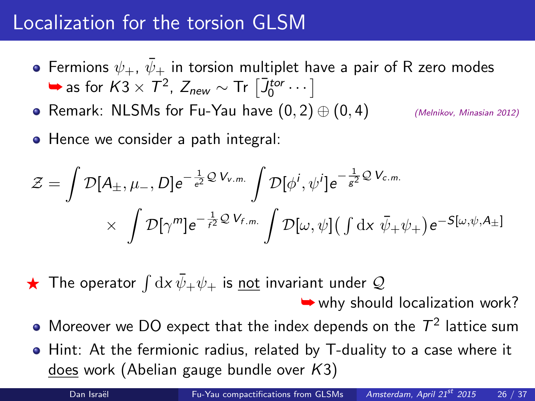## Localization for the torsion GLSM

- Fermions  $\psi_+$ ,  $\bar{\psi}_+$  in torsion multiplet have a pair of R zero modes  $\rightarrow$  as for  $K3 \times T^2$ ,  $Z_{new} \sim Tr \left[ \overline{J}_0^{tor} \cdots \right]$
- Remark: NLSMs for Fu-Yau have  $(0, 2) \oplus (0, 4)$  (Melnikov, Minasian 2012)
- Hence we consider a path integral:

$$
\mathcal{Z} = \int \mathcal{D}[A_{\pm}, \mu_{-}, D] e^{-\frac{1}{e^2} \mathcal{Q} V_{v.m.}} \int \mathcal{D}[\phi^i, \psi^i] e^{-\frac{1}{g^2} \mathcal{Q} V_{c.m.}} \times \int \mathcal{D}[\gamma^m] e^{-\frac{1}{f^2} \mathcal{Q} V_{f.m.}} \int \mathcal{D}[\omega, \psi] (\int dx \, \bar{\psi}_+ \psi_+) e^{-S[\omega, \psi, A_{\pm}]}
$$

 $\bigstar$  The operator  $\int\mathrm{d} x\,\bar{\psi}_+\psi_+$  is <u>not</u> invariant under  $\mathcal Q$ 

 $\rightarrow$  why should localization work?

- Moreover we DO expect that the index depends on the  $\mathcal{T}^2$  lattice sum
- Hint: At the fermionic radius, related by T-duality to a case where it does work (Abelian gauge bundle over K3)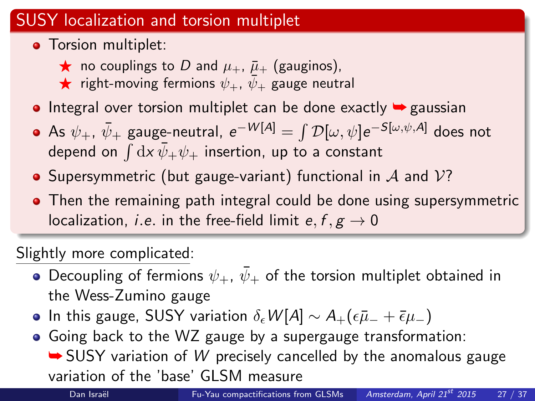### SUSY localization and torsion multiplet

- **•** Torsion multiplet:
	- $\star$  no couplings to D and  $\mu_+$ ,  $\bar{\mu}_+$  (gauginos),
	- $\star$  right-moving fermions  $\psi_+$ ,  $\psi_+$  gauge neutral
- Integral over torsion multiplet can be done exactly  $\rightarrow$  gaussian
- As  $\psi_+$ ,  $\bar\psi_+$  gauge-neutral,  $e^{-W[A]} = \int {\cal D}[\omega,\psi] e^{-S[\omega,\psi,A]}$  does not depend on  $\int\mathrm{d} x\,\bar{\psi}_+\psi_+$  insertion, up to a constant
- Supersymmetric (but gauge-variant) functional in  $\mathcal A$  and  $\mathcal V$ ?
- Then the remaining path integral could be done using supersymmetric localization, *i.e.* in the free-field limit  $e, f, g \rightarrow 0$

Slightly more complicated:

- Decoupling of fermions  $\psi_+$ ,  $\bar{\psi}_+$  of the torsion multiplet obtained in the Wess-Zumino gauge
- In this gauge, SUSY variation  $\delta_{\epsilon}W[A] \sim A_{+}(\epsilon \bar{\mu}_{-}+\bar{\epsilon}\mu_{-})$
- Going back to the WZ gauge by a supergauge transformation:

 $\rightarrow$  SUSY variation of W precisely cancelled by the anomalous gauge variation of the 'base' GLSM measure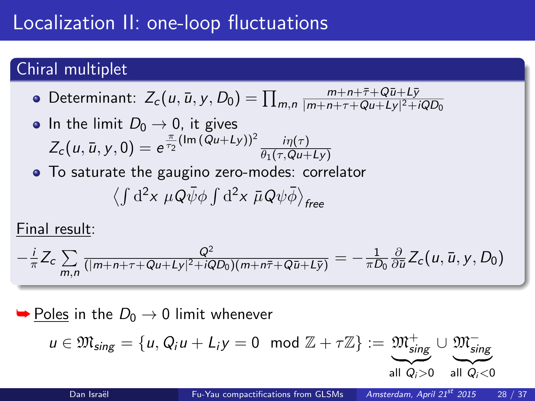# Localization II: one-loop fluctuations

### Chiral multiplet

- Determinant:  $Z_c(u, \bar{u}, y, D_0) = \prod_{m,n}$  $m+n+\bar{\tau}+Q\bar{u}+L\bar{y}$  $|m+n+\tau+Qu+Ly|^{2}+iQD_{0}$
- In the limit  $D_0 \rightarrow 0$ , it gives  $Z_c(u, \bar{u}, y, 0) = e^{\frac{\pi}{T_2}(\text{Im}(Qu+Ly))^2} \frac{i\eta(\tau)}{\theta_1(\tau, Qu+U)}$  $\theta_1(\tau,Qu+Ly)$
- To saturate the gaugino zero-modes: correlator  $\left\langle \int\mathrm{d}^{2}x\;\mu Q\bar{\psi}\phi\int\mathrm{d}^{2}x\;\bar{\mu}Q\psi\bar{\phi}\right\rangle _{free}$

Final result:

$$
-\frac{i}{\pi}Z_c\sum_{m,n}\frac{Q^2}{(|m+n+\tau+Qu+Ly|^2+iQD_0)(m+n\bar{\tau}+Q\bar{u}+L\bar{y})}=-\frac{1}{\pi D_0}\frac{\partial}{\partial \bar{u}}Z_c(u,\bar{u},y,D_0)
$$

#### $\rightarrow$  Poles in the  $D_0 \rightarrow 0$  limit whenever

$$
u \in \mathfrak{M}_{sing} = \{u, Q_i u + L_i y = 0 \mod \mathbb{Z} + \tau \mathbb{Z}\} := \underbrace{\mathfrak{M}_{sing}^+}_{\text{all } Q_i > 0} \cup \underbrace{\mathfrak{M}_{sing}^-}_{\text{all } Q_i < 0}
$$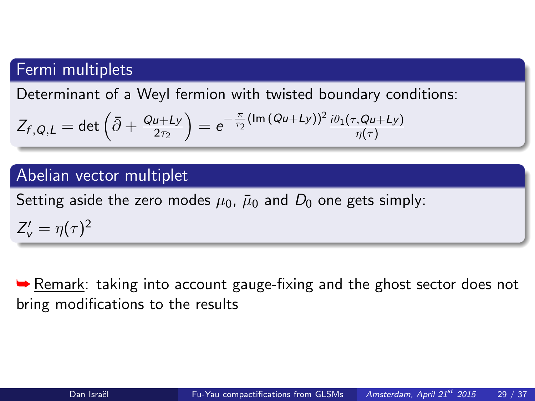### Fermi multiplets

Determinant of a Weyl fermion with twisted boundary conditions:

$$
Z_{f,Q,L} = \det \left( \bar{\partial} + \frac{Qu+Ly}{2\tau_2} \right) = e^{-\frac{\pi}{\tau_2} (\text{Im} (Qu+Ly))^2} \frac{i\theta_1(\tau, Qu+Ly)}{\eta(\tau)}
$$

#### Abelian vector multiplet

Setting aside the zero modes  $\mu_0$ ,  $\bar{\mu}_0$  and  $D_0$  one gets simply:

 $Z_{\rm v}^{\prime}=\eta(\tau)^2$ 

**► Remark: taking into account gauge-fixing and the ghost sector does not** bring modifications to the results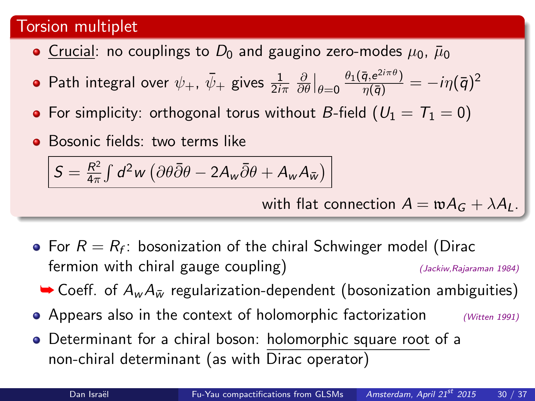#### Torsion multiplet

- Crucial: no couplings to  $D_0$  and gaugino zero-modes  $\mu_0$ ,  $\bar{\mu}_0$
- Path integral over  $\psi_+$ ,  $\bar\psi_+$  gives  $\frac{1}{2i\pi}$ ∂  $\frac{\partial}{\partial \theta}\big|_{\theta=0}$  $\frac{\theta_{1}(\bar{q},e^{2i\pi\theta})}{\eta(\bar{q})}=-i\eta(\bar{q})^{2}$
- For simplicity: orthogonal torus without B-field ( $U_1 = T_1 = 0$ )
- **Bosonic fields:** two terms like

$$
S = \frac{R^2}{4\pi} \int d^2w \left( \partial \theta \overline{\partial} \theta - 2A_w \overline{\partial} \theta + A_w A_{\overline{w}} \right)
$$

with flat connection  $A = wA_G + \lambda A_L$ .

- For  $R=R_f$ : bosonization of the chiral Schwinger model (Dirac fermion with chiral gauge coupling)  $(3ackiw, Rajaraman 1984)$ 
	- $\rightarrow$  Coeff. of  $A_w A_{\bar{w}}$  regularization-dependent (bosonization ambiguities)
- Appears also in the context of holomorphic factorization  $(Witten 1991)$
- Determinant for a chiral boson: holomorphic square root of a non-chiral determinant (as with Dirac operator)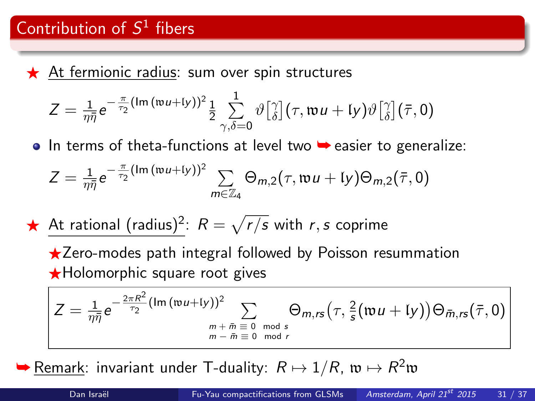$\star$  At fermionic radius: sum over spin structures

$$
Z = \frac{1}{\eta \bar{\eta}} e^{-\frac{\pi}{\tau_2} (\text{Im} (\mathfrak{w} u + \text{I}y))^2} \frac{1}{2} \sum_{\gamma, \delta = 0}^1 \vartheta \left[ \begin{smallmatrix} \gamma \\ \delta \end{smallmatrix} \right] (\tau, \mathfrak{w} u + \text{I}y) \vartheta \left[ \begin{smallmatrix} \gamma \\ \delta \end{smallmatrix} \right] (\bar{\tau}, 0)
$$

• In terms of theta-functions at level two ► easier to generalize:

$$
Z=\frac{1}{\eta\bar{\eta}}e^{-\frac{\pi}{\tau_2}(\operatorname{Im}\left(\operatorname{tw}u+\mathfrak{l}y\right))^2}\sum_{m\in\mathbb{Z}_4}\Theta_{m,2}(\tau,\operatorname{tw}u+\mathfrak{l}y)\Theta_{m,2}(\bar{\tau},0)
$$

At rational (radius)<sup>2</sup>:  $R = \sqrt{r/s}$  with r, s coprime

 $\star$ Zero-modes path integral followed by Poisson resummation  $\star$ Holomorphic square root gives

$$
Z = \frac{1}{\eta \bar{\eta}} e^{-\frac{2\pi R^2}{\tau_2} (\text{Im}(\mathfrak{w} u + \mathfrak{l} y))^2} \sum_{\substack{m + \bar{m} \equiv 0 \mod s \\ m - \bar{m} \equiv 0 \mod r}} \Theta_{m,rs}(\tau, \frac{2}{s} (\mathfrak{w} u + \mathfrak{l} y)) \Theta_{\bar{m},rs}(\bar{\tau}, 0)
$$

 $\blacktriangleright$  <u>Remark</u>: invariant under T-duality:  $R \mapsto 1/R$ ,  $\mathfrak{w} \mapsto R^2 \mathfrak{w}$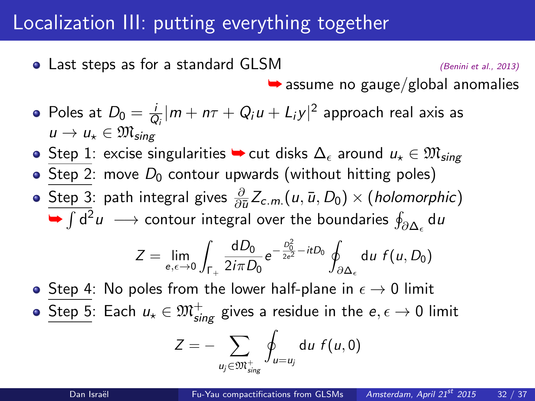## Localization III: putting everything together

• Last steps as for a standard  $GLSM$  (Benini et al., 2013)

 $\rightarrow$  assume no gauge/global anomalies

- Poles at  $D_0 = \frac{b}{6}$  $\frac{i}{\vert Q_i \vert} \vert m + n\tau + Q_i u + L_i y \vert^2$  approach real axis as  $u \to u_* \in \mathfrak{M}_{\text{sing}}$
- Step 1: excise singularities  $\blacktriangleright$  cut disks  $\Delta_{\epsilon}$  around  $u_{\star} \in \mathfrak{M}_{sing}$
- Step 2: move  $D_0$  contour upwards (without hitting poles)
- <u>Step 3</u>: path integral gives  $\frac{\partial}{\partial \bar{u}} Z_{c.m.}(u, \bar{u}, D_0) \times (holomorphic)$  $\blacktriangleright \int {\sf d}^2 u \ \longrightarrow$  contour integral over the boundaries  $\oint_{\partial \Delta_\epsilon} {\sf d} u$

$$
Z = \lim_{e, \epsilon \to 0} \int_{\Gamma_+} \frac{dD_0}{2i\pi D_0} e^{-\frac{D_0^2}{2e^2} - itD_0} \oint_{\partial \Delta_{\epsilon}} du f(u, D_0)
$$

• Step 4: No poles from the lower half-plane in  $\epsilon \to 0$  limit

 $\underline{\mathsf{Step\ 5}}$ : Each  $u_\star\in\mathfrak{M}^+_{\mathsf{sing}}$  gives a residue in the  $e,\epsilon\to 0$  limit

$$
Z=-\sum_{u_j\in \mathfrak{M}^+_{sing}}\oint_{u=u_j}\mathrm{d} u\;f(u,0)
$$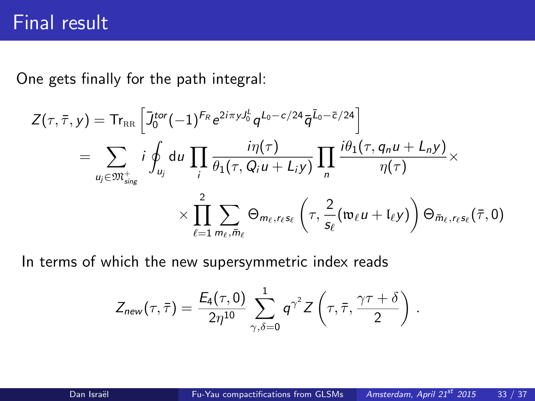## Final result

One gets finally for the path integral:

$$
Z(\tau,\bar{\tau},y) = \text{Tr}_{\text{RR}} \left[ J_0^{\text{tor}} (-1)^{F_R} e^{2i\pi y J_0^L} q^{L_0 - c/24} \bar{q}^{\bar{L}_0 - \bar{c}/24} \right]
$$
  
\n
$$
= \sum_{u_j \in \mathfrak{M}_{sing}^+} i \oint_{u_j} du \prod_i \frac{i\eta(\tau)}{\theta_1(\tau, Q_i u + L_i y)} \prod_n \frac{i\theta_1(\tau, q_n u + L_n y)}{\eta(\tau)} \times
$$
  
\n
$$
\times \prod_{\ell=1}^2 \sum_{m_\ell, \bar{m}_\ell} \Theta_{m_\ell, r_\ell s_\ell} \left( \tau, \frac{2}{s_\ell} (\mathfrak{w}_\ell u + l_\ell y) \right) \Theta_{\bar{m}_\ell, r_\ell s_\ell}(\bar{\tau}, 0)
$$

In terms of which the new supersymmetric index reads

<span id="page-32-0"></span>
$$
\mathsf{Z}_{\mathsf{new}}(\tau,\bar{\tau}) = \frac{\mathsf{E_4}(\tau,0)}{2\eta^{10}}\sum_{\gamma,\delta=0}^1 \mathsf{q}^{\gamma^2} \mathsf{Z}\left(\tau,\bar{\tau},\frac{\gamma\tau+\delta}{2}\right)\,.
$$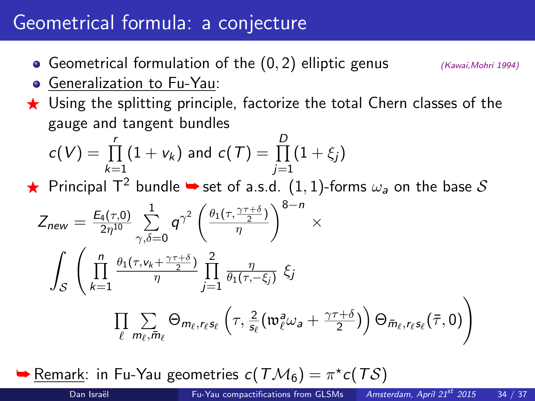# Geometrical formula: a conjecture

- Geometrical formulation of the  $(0, 2)$  elliptic genus  $(K_{\text{away}}, M_{\text{ohri 1994}})$
- Generalization to Fu-Yau:
- $\star$  Using the splitting principle, factorize the total Chern classes of the gauge and tangent bundles

$$
c(V) = \prod_{k=1}^{r} (1 + v_k) \text{ and } c(T) = \prod_{j=1}^{D} (1 + \xi_j)
$$

Fincipal T<sup>2</sup> bundle  $\rightarrow$  set of a.s.d. (1, 1)-forms  $\omega_a$  on the base S

$$
Z_{new} = \frac{E_4(\tau,0)}{2\eta^{10}} \sum_{\gamma,\delta=0}^1 q^{\gamma^2} \left(\frac{\theta_1(\tau,\frac{\gamma\tau+\delta}{2})}{\eta}\right)^{8-n} \times \int_S \left(\prod_{k=1}^n \frac{\theta_1(\tau,\nu_k+\frac{\gamma\tau+\delta}{2})}{\eta}\prod_{j=1}^2 \frac{\eta}{\theta_1(\tau,-\xi_j)} \xi_j \right)
$$

$$
\prod_{\ell} \sum_{m_{\ell},\bar{m}_{\ell}} \Theta_{m_{\ell},r_{\ell}s_{\ell}} \left(\tau,\frac{2}{s_{\ell}}\left(\mathfrak{w}_{\ell}^a\omega_a + \frac{\gamma\tau+\delta}{2}\right)\right) \Theta_{\bar{m}_{\ell},r_{\ell}s_{\ell}}(\bar{\tau},0)\right)
$$

 $\blacktriangleright$  <u>Remark</u>: in Fu-Yau geometries  $c(T\mathcal{M}_6) = \pi^{\star}c(T\mathcal{S})$ 

<span id="page-33-0"></span>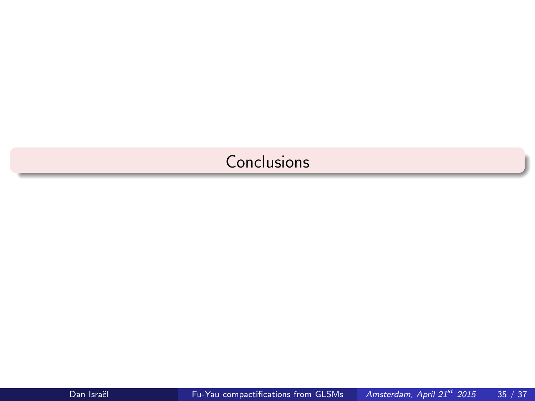### <span id="page-34-0"></span>**[Conclusions](#page-34-0)**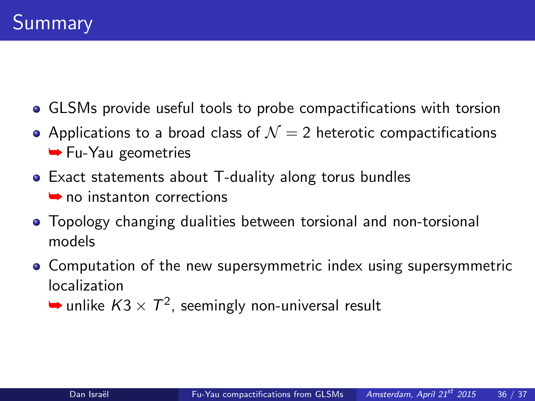- GLSMs provide useful tools to probe compactifications with torsion
- Applications to a broad class of  $\mathcal{N}=2$  heterotic compactifications **►** Fu-Yau geometries
- Exact statements about T-duality along torus bundles ➥ no instanton corrections
- Topology changing dualities between torsional and non-torsional models
- Computation of the new supersymmetric index using supersymmetric localization
	- $\blacktriangleright$  unlike  $K3\times T^2$ , seemingly non-universal result